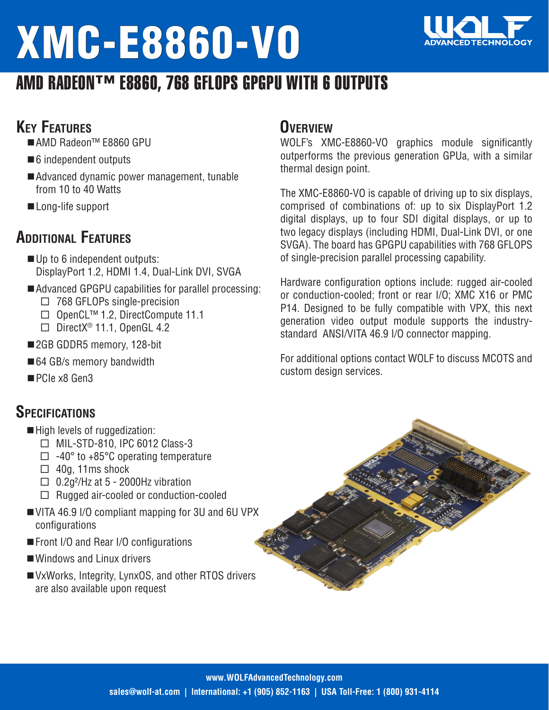# XMC-E8860-VO



### AMD RADEON™ E8860, 768 GFLOPS GPGPU WITH 6 OUTPUTS

#### **Key Features**

- ■AMD Radeon<sup>™</sup> E8860 GPU
- ■6 independent outputs
- Advanced dynamic power management, tunable from 10 to 40 Watts
- Long-life support

#### **Additional Features**

- Up to 6 independent outputs: DisplayPort 1.2, HDMI 1.4, Dual-Link DVI, SVGA
- Advanced GPGPU capabilities for parallel processing:
	- □ 768 GFLOPs single-precision
	- OpenCL™ 1.2, DirectCompute 11.1
	- $\Box$  DirectX<sup>®</sup> 11.1, OpenGL 4.2
- ■2GB GDDR5 memory, 128-bit
- ■64 GB/s memory bandwidth
- ■PCIe x8 Gen3

#### **Specifications**

- High levels of ruggedization:
	- □ MIL-STD-810, IPC 6012 Class-3
	- $\Box$  -40° to +85°C operating temperature
	- $\Box$  40g, 11ms shock
	- $\Box$  0.2g<sup>2</sup>/Hz at 5 2000Hz vibration
	- $\Box$  Rugged air-cooled or conduction-cooled
- VITA 46.9 I/O compliant mapping for 3U and 6U VPX configurations
- Front I/O and Rear I/O configurations
- Windows and Linux drivers
- VxWorks, Integrity, LynxOS, and other RTOS drivers are also available upon request

#### **Overview**

WOLF's XMC-E8860-VO graphics module significantly outperforms the previous generation GPUa, with a similar thermal design point.

The XMC-E8860-VO is capable of driving up to six displays, comprised of combinations of: up to six DisplayPort 1.2 digital displays, up to four SDI digital displays, or up to two legacy displays (including HDMI, Dual-Link DVI, or one SVGA). The board has GPGPU capabilities with 768 GFLOPS of single-precision parallel processing capability.

Hardware configuration options include: rugged air-cooled or conduction-cooled; front or rear I/O; XMC X16 or PMC P14. Designed to be fully compatible with VPX, this next generation video output module supports the industrystandard ANSI/VITA 46.9 I/O connector mapping.

For additional options contact WOLF to discuss MCOTS and custom design services.